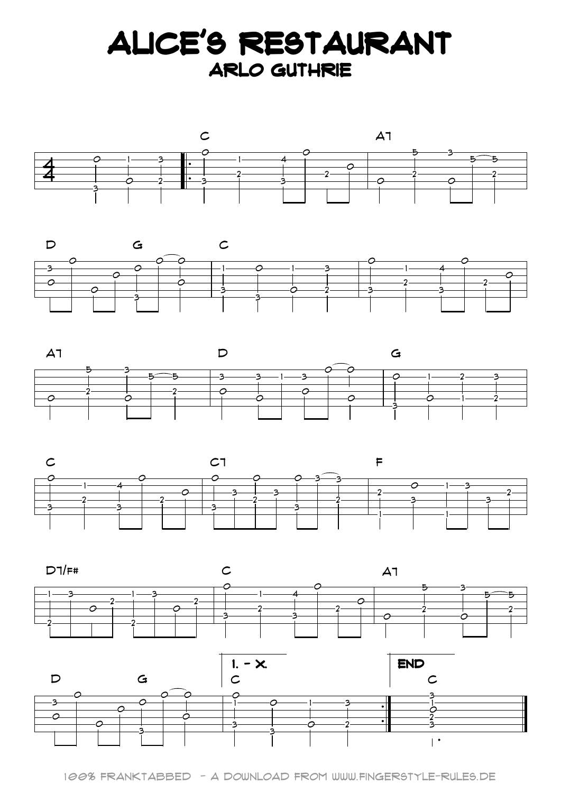#### ANLU GUITINE **ALICE'S RESTAURANT ARLO GUTHRIE**











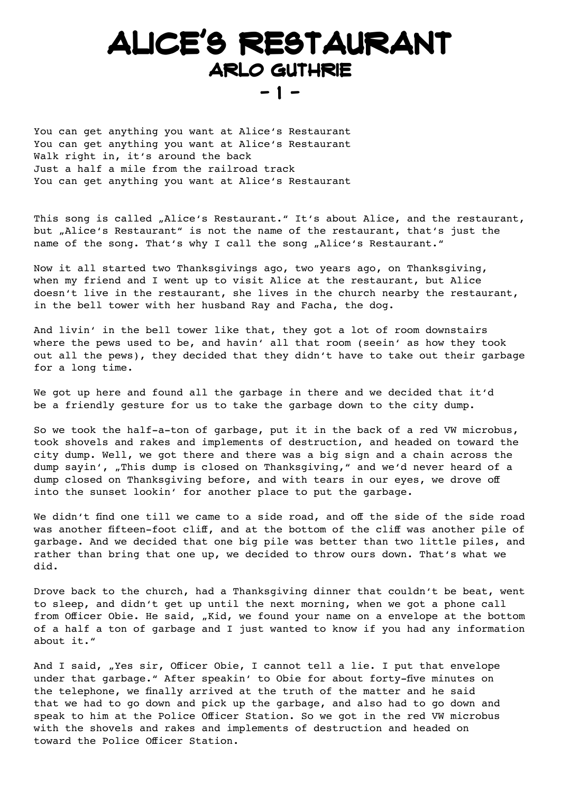#### **ALICE'S RESTAURANT ARLO GUTHRIE - 1 -**

You can get anything you want at Alice's Restaurant You can get anything you want at Alice's Restaurant Walk right in, it's around the back Just a half a mile from the railroad track You can get anything you want at Alice's Restaurant

This song is called "Alice's Restaurant." It's about Alice, and the restaurant, but "Alice's Restaurant" is not the name of the restaurant, that's just the name of the song. That's why I call the song "Alice's Restaurant."

Now it all started two Thanksgivings ago, two years ago, on Thanksgiving, when my friend and I went up to visit Alice at the restaurant, but Alice doesn't live in the restaurant, she lives in the church nearby the restaurant, in the bell tower with her husband Ray and Facha, the dog.

And livin' in the bell tower like that, they got a lot of room downstairs where the pews used to be, and havin' all that room (seein' as how they took out all the pews), they decided that they didn't have to take out their garbage for a long time.

We got up here and found all the garbage in there and we decided that it'd be a friendly gesture for us to take the garbage down to the city dump.

So we took the half-a-ton of garbage, put it in the back of a red VW microbus, took shovels and rakes and implements of destruction, and headed on toward the city dump. Well, we got there and there was a big sign and a chain across the dump sayin', "This dump is closed on Thanksgiving," and we'd never heard of a dump closed on Thanksgiving before, and with tears in our eyes, we drove off into the sunset lookin' for another place to put the garbage.

We didn't find one till we came to a side road, and off the side of the side road was another fifteen-foot cliff, and at the bottom of the cliff was another pile of garbage. And we decided that one big pile was better than two little piles, and rather than bring that one up, we decided to throw ours down. That's what we did.

Drove back to the church, had a Thanksgiving dinner that couldn't be beat, went to sleep, and didn't get up until the next morning, when we got a phone call from Officer Obie. He said, "Kid, we found your name on a envelope at the bottom of a half a ton of garbage and I just wanted to know if you had any information about it."

And I said, "Yes sir, Officer Obie, I cannot tell a lie. I put that envelope under that garbage." After speakin' to Obie for about forty-five minutes on the telephone, we finally arrived at the truth of the matter and he said that we had to go down and pick up the garbage, and also had to go down and speak to him at the Police Officer Station. So we got in the red VW microbus with the shovels and rakes and implements of destruction and headed on toward the Police Officer Station.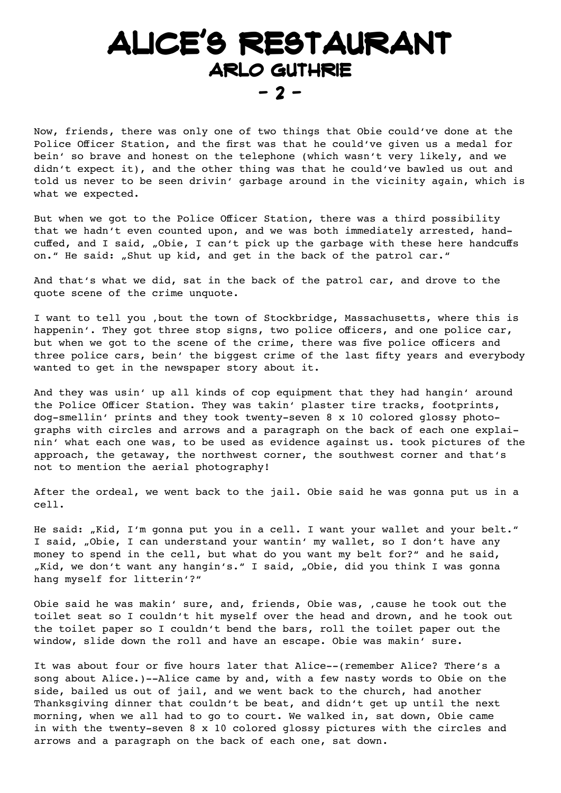# **ALICE'S RESTAURANT ARLO GUTHRIE - 2 -**

Now, friends, there was only one of two things that Obie could've done at the Police Officer Station, and the first was that he could've given us a medal for bein' so brave and honest on the telephone (which wasn't very likely, and we didn't expect it), and the other thing was that he could've bawled us out and told us never to be seen drivin' garbage around in the vicinity again, which is what we expected.

But when we got to the Police Officer Station, there was a third possibility that we hadn't even counted upon, and we was both immediately arrested, handcuffed, and I said, "Obie, I can't pick up the garbage with these here handcuffs on." He said: "Shut up kid, and get in the back of the patrol car."

And that's what we did, sat in the back of the patrol car, and drove to the quote scene of the crime unquote.

I want to tell you , bout the town of Stockbridge, Massachusetts, where this is happenin'. They got three stop signs, two police officers, and one police car, but when we got to the scene of the crime, there was five police officers and three police cars, bein' the biggest crime of the last fifty years and everybody wanted to get in the newspaper story about it.

And they was usin' up all kinds of cop equipment that they had hangin' around the Police Officer Station. They was takin' plaster tire tracks, footprints, dog-smellin' prints and they took twenty-seven 8 x 10 colored glossy photographs with circles and arrows and a paragraph on the back of each one explainin' what each one was, to be used as evidence against us. took pictures of the approach, the getaway, the northwest corner, the southwest corner and that's not to mention the aerial photography!

After the ordeal, we went back to the jail. Obie said he was gonna put us in a cell.

He said: "Kid, I'm gonna put you in a cell. I want your wallet and your belt." I said, "Obie, I can understand your wantin' my wallet, so I don't have any money to spend in the cell, but what do you want my belt for?" and he said, "Kid, we don't want any hangin's." I said, "Obie, did you think I was gonna hang myself for litterin'?"

Obie said he was makin' sure, and, friends, Obie was, , cause he took out the toilet seat so I couldn't hit myself over the head and drown, and he took out the toilet paper so I couldn't bend the bars, roll the toilet paper out the window, slide down the roll and have an escape. Obie was makin' sure.

It was about four or five hours later that Alice--(remember Alice? There's a song about Alice.)--Alice came by and, with a few nasty words to Obie on the side, bailed us out of jail, and we went back to the church, had another Thanksgiving dinner that couldn't be beat, and didn't get up until the next morning, when we all had to go to court. We walked in, sat down, Obie came in with the twenty-seven 8 x 10 colored glossy pictures with the circles and arrows and a paragraph on the back of each one, sat down.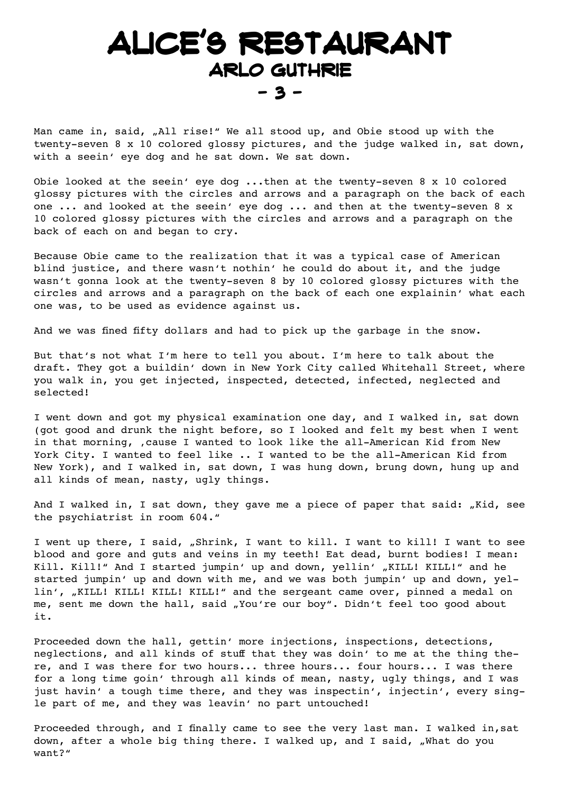# **ALICE'S RESTAURANT ARLO GUTHRIE - 3 -**

Man came in, said, "All rise!" We all stood up, and Obie stood up with the twenty-seven 8 x 10 colored glossy pictures, and the judge walked in, sat down, with a seein' eye dog and he sat down. We sat down.

Obie looked at the seein' eye dog ...then at the twenty-seven 8 x 10 colored glossy pictures with the circles and arrows and a paragraph on the back of each one ... and looked at the seein' eye dog ... and then at the twenty-seven 8 x 10 colored glossy pictures with the circles and arrows and a paragraph on the back of each on and began to cry.

Because Obie came to the realization that it was a typical case of American blind justice, and there wasn't nothin' he could do about it, and the judge wasn't gonna look at the twenty-seven 8 by 10 colored glossy pictures with the circles and arrows and a paragraph on the back of each one explainin' what each one was, to be used as evidence against us.

And we was fined fifty dollars and had to pick up the garbage in the snow.

But that's not what I'm here to tell you about. I'm here to talk about the draft. They got a buildin' down in New York City called Whitehall Street, where you walk in, you get injected, inspected, detected, infected, neglected and selected!

I went down and got my physical examination one day, and I walked in, sat down (got good and drunk the night before, so I looked and felt my best when I went in that morning, , cause I wanted to look like the all-American Kid from New York City. I wanted to feel like .. I wanted to be the all-American Kid from New York), and I walked in, sat down, I was hung down, brung down, hung up and all kinds of mean, nasty, ugly things.

And I walked in, I sat down, they gave me a piece of paper that said: "Kid, see the psychiatrist in room 604."

I went up there, I said, "Shrink, I want to kill. I want to kill! I want to see blood and gore and guts and veins in my teeth! Eat dead, burnt bodies! I mean: Kill. Kill!" And I started jumpin' up and down, yellin' "KILL! KILL!" and he started jumpin' up and down with me, and we was both jumpin' up and down, yellin', "KILL! KILL! KILL! KILL!" and the sergeant came over, pinned a medal on me, sent me down the hall, said "You're our boy". Didn't feel too good about it.

Proceeded down the hall, gettin' more injections, inspections, detections, neglections, and all kinds of stuff that they was doin' to me at the thing there, and I was there for two hours... three hours... four hours... I was there for a long time goin' through all kinds of mean, nasty, ugly things, and I was just havin' a tough time there, and they was inspectin', injectin', every single part of me, and they was leavin' no part untouched!

Proceeded through, and I finally came to see the very last man. I walked in, sat down, after a whole big thing there. I walked up, and I said, "What do you want?"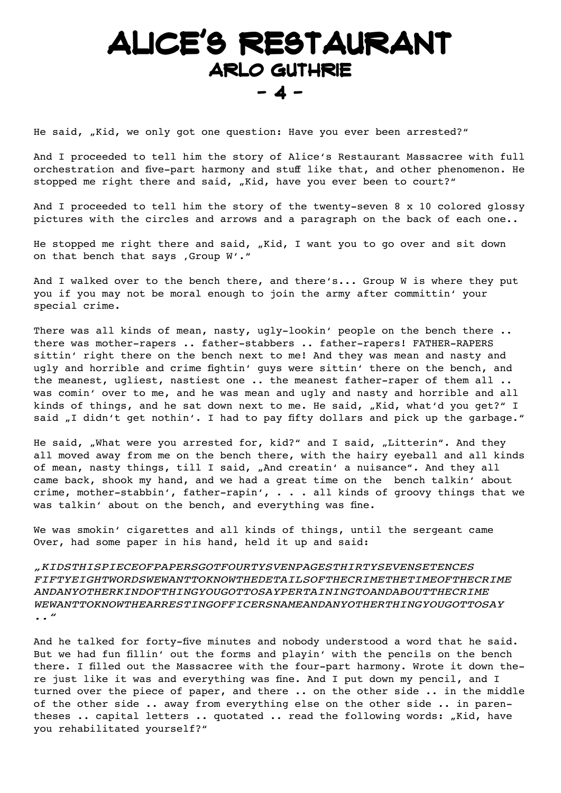# **ALICE'S RESTAURANT ARLO GUTHRIE - 4 -**

He said, "Kid, we only got one question: Have you ever been arrested?"

And I proceeded to tell him the story of Alice's Restaurant Massacree with full orchestration and five-part harmony and stuff like that, and other phenomenon. He stopped me right there and said, "Kid, have you ever been to court?"

And I proceeded to tell him the story of the twenty-seven 8 x 10 colored glossy pictures with the circles and arrows and a paragraph on the back of each one..

He stopped me right there and said, "Kid, I want you to go over and sit down on that bench that says , Group  $W'$ ."

And I walked over to the bench there, and there's... Group W is where they put you if you may not be moral enough to join the army after committin' your special crime.

There was all kinds of mean, nasty, ugly-lookin' people on the bench there .. there was mother-rapers .. father-stabbers .. father-rapers! FATHER-RAPERS sittin' right there on the bench next to me! And they was mean and nasty and ugly and horrible and crime fightin' guys were sittin' there on the bench, and the meanest, ugliest, nastiest one .. the meanest father-raper of them all .. was comin' over to me, and he was mean and ugly and nasty and horrible and all kinds of things, and he sat down next to me. He said, "Kid, what'd you get?" I said "I didn't get nothin'. I had to pay fifty dollars and pick up the garbage."

He said, "What were you arrested for, kid?" and I said, "Litterin". And they all moved away from me on the bench there, with the hairy eyeball and all kinds of mean, nasty things, till I said, "And creatin' a nuisance". And they all came back, shook my hand, and we had a great time on the bench talkin' about crime, mother-stabbin', father-rapin', . . . all kinds of groovy things that we was talkin' about on the bench, and everything was fine.

We was smokin' cigarettes and all kinds of things, until the sergeant came Over, had some paper in his hand, held it up and said:

*"KIDSTHISPIECEOFPAPERSGOTFOURTYSVENPAGESTHIRTYSEVENSETENCES FIFTYEIGHTWORDSWEWANTTOKNOWTHEDETAILSOFTHECRIMETHETIMEOFTHECRIME ANDANYOTHERKINDOFTHINGYOUGOTTOSAYPERTAININGTOANDABOUTTHECRIME WEWANTTOKNOWTHEARRESTINGOFFICERSNAMEANDANYOTHERTHINGYOUGOTTOSAY .."*

And he talked for forty-five minutes and nobody understood a word that he said. But we had fun fillin' out the forms and playin' with the pencils on the bench there. I filled out the Massacree with the four-part harmony. Wrote it down there just like it was and everything was fine. And I put down my pencil, and I turned over the piece of paper, and there .. on the other side .. in the middle of the other side .. away from everything else on the other side .. in parentheses .. capital letters .. quotated .. read the following words: "Kid, have you rehabilitated yourself?"